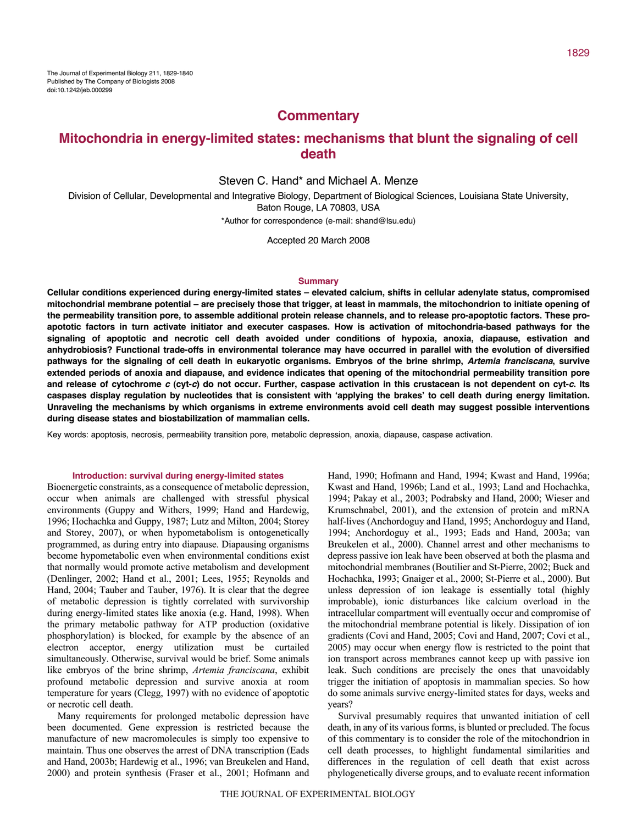## **Commentary**

# **Mitochondria in energy-limited states: mechanisms that blunt the signaling of cell death**

### Steven C. Hand\* and Michael A. Menze

Division of Cellular, Developmental and Integrative Biology, Department of Biological Sciences, Louisiana State University, Baton Rouge, LA 70803, USA

\*Author for correspondence (e-mail: shand@lsu.edu)

Accepted 20 March 2008

#### **Summary**

**Cellular conditions experienced during energy-limited states – elevated calcium, shifts in cellular adenylate status, compromised mitochondrial membrane potential – are precisely those that trigger, at least in mammals, the mitochondrion to initiate opening of the permeability transition pore, to assemble additional protein release channels, and to release pro-apoptotic factors. These proapototic factors in turn activate initiator and executer caspases. How is activation of mitochondria-based pathways for the signaling of apoptotic and necrotic cell death avoided under conditions of hypoxia, anoxia, diapause, estivation and anhydrobiosis? Functional trade-offs in environmental tolerance may have occurred in parallel with the evolution of diversified pathways for the signaling of cell death in eukaryotic organisms. Embryos of the brine shrimp, Artemia franciscana, survive extended periods of anoxia and diapause, and evidence indicates that opening of the mitochondrial permeability transition pore and release of cytochrome <sup>c</sup> (cyt-c) do not occur. Further, caspase activation in this crustacean is not dependent on cyt-c. Its caspases display regulation by nucleotides that is consistent with ʻapplying the brakes' to cell death during energy limitation. Unraveling the mechanisms by which organisms in extreme environments avoid cell death may suggest possible interventions during disease states and biostabilization of mammalian cells.**

Key words: apoptosis, necrosis, permeability transition pore, metabolic depression, anoxia, diapause, caspase activation.

### **Introduction: survival during energy-limited states**

Bioenergetic constraints, as a consequence of metabolic depression, occur when animals are challenged with stressful physical environments (Guppy and Withers, 1999; Hand and Hardewig, 1996; Hochachka and Guppy, 1987; Lutz and Milton, 2004; Storey and Storey, 2007), or when hypometabolism is ontogenetically programmed, as during entry into diapause. Diapausing organisms become hypometabolic even when environmental conditions exist that normally would promote active metabolism and development (Denlinger, 2002; Hand et al., 2001; Lees, 1955; Reynolds and Hand, 2004; Tauber and Tauber, 1976). It is clear that the degree of metabolic depression is tightly correlated with survivorship during energy-limited states like anoxia (e.g. Hand, 1998). When the primary metabolic pathway for ATP production (oxidative phosphorylation) is blocked, for example by the absence of an electron acceptor, energy utilization must be curtailed simultaneously. Otherwise, survival would be brief. Some animals like embryos of the brine shrimp, *Artemia franciscana*, exhibit profound metabolic depression and survive anoxia at room temperature for years (Clegg, 1997) with no evidence of apoptotic or necrotic cell death.

Many requirements for prolonged metabolic depression have been documented. Gene expression is restricted because the manufacture of new macromolecules is simply too expensive to maintain. Thus one observes the arrest of DNA transcription (Eads and Hand, 2003b; Hardewig et al., 1996; van Breukelen and Hand, 2000) and protein synthesis (Fraser et al., 2001; Hofmann and Hand, 1990; Hofmann and Hand, 1994; Kwast and Hand, 1996a; Kwast and Hand, 1996b; Land et al., 1993; Land and Hochachka, 1994; Pakay et al., 2003; Podrabsky and Hand, 2000; Wieser and Krumschnabel, 2001), and the extension of protein and mRNA half-lives (Anchordoguy and Hand, 1995; Anchordoguy and Hand, 1994; Anchordoguy et al., 1993; Eads and Hand, 2003a; van Breukelen et al., 2000). Channel arrest and other mechanisms to depress passive ion leak have been observed at both the plasma and mitochondrial membranes (Boutilier and St-Pierre, 2002; Buck and Hochachka, 1993; Gnaiger et al., 2000; St-Pierre et al., 2000). But unless depression of ion leakage is essentially total (highly improbable), ionic disturbances like calcium overload in the intracellular compartment will eventually occur and compromise of the mitochondrial membrane potential is likely. Dissipation of ion gradients (Covi and Hand, 2005; Covi and Hand, 2007; Covi et al., 2005) may occur when energy flow is restricted to the point that ion transport across membranes cannot keep up with passive ion leak. Such conditions are precisely the ones that unavoidably trigger the initiation of apoptosis in mammalian species. So how do some animals survive energy-limited states for days, weeks and years?

Survival presumably requires that unwanted initiation of cell death, in any of its various forms, is blunted or precluded. The focus of this commentary is to consider the role of the mitochondrion in cell death processes, to highlight fundamental similarities and differences in the regulation of cell death that exist across phylogenetically diverse groups, and to evaluate recent information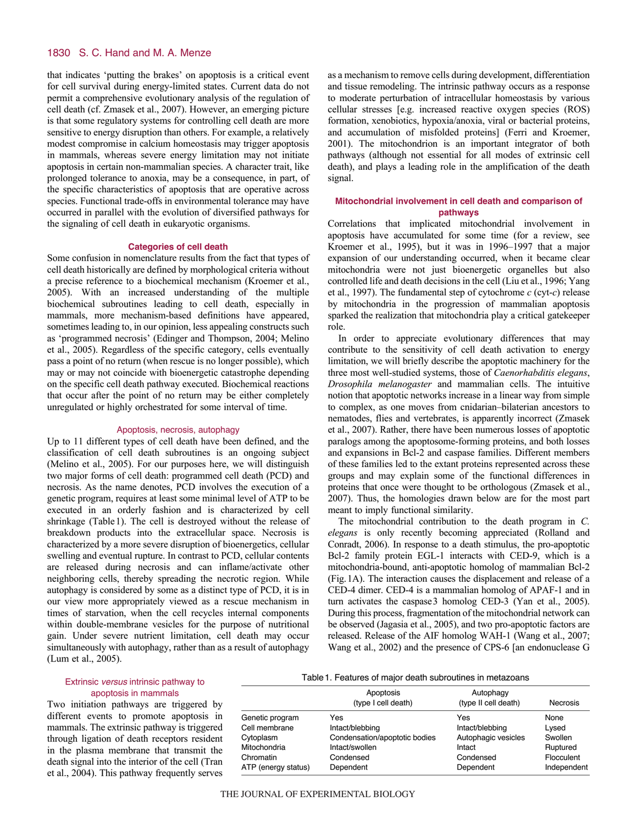that indicates 'putting the brakes' on apoptosis is a critical event for cell survival during energy-limited states. Current data do not permit a comprehensive evolutionary analysis of the regulation of cell death (cf. Zmasek et al., 2007). However, an emerging picture is that some regulatory systems for controlling cell death are more sensitive to energy disruption than others. For example, a relatively modest compromise in calcium homeostasis may trigger apoptosis in mammals, whereas severe energy limitation may not initiate apoptosis in certain non-mammalian species. A character trait, like prolonged tolerance to anoxia, may be a consequence, in part, of the specific characteristics of apoptosis that are operative across species. Functional trade-offs in environmental tolerance may have occurred in parallel with the evolution of diversified pathways for the signaling of cell death in eukaryotic organisms.

#### **Categories of cell death**

Some confusion in nomenclature results from the fact that types of cell death historically are defined by morphological criteria without a precise reference to a biochemical mechanism (Kroemer et al., 2005). With an increased understanding of the multiple biochemical subroutines leading to cell death, especially in mammals, more mechanism-based definitions have appeared, sometimes leading to, in our opinion, less appealing constructs such as 'programmed necrosis' (Edinger and Thompson, 2004; Melino et al., 2005). Regardless of the specific category, cells eventually pass a point of no return (when rescue is no longer possible), which may or may not coincide with bioenergetic catastrophe depending on the specific cell death pathway executed. Biochemical reactions that occur after the point of no return may be either completely unregulated or highly orchestrated for some interval of time.

#### Apoptosis, necrosis, autophagy

Up to 11 different types of cell death have been defined, and the classification of cell death subroutines is an ongoing subject (Melino et al., 2005). For our purposes here, we will distinguish two major forms of cell death: programmed cell death (PCD) and necrosis. As the name denotes, PCD involves the execution of a genetic program, requires at least some minimal level of ATP to be executed in an orderly fashion and is characterized by cell shrinkage (Table1). The cell is destroyed without the release of breakdown products into the extracellular space. Necrosis is characterized by a more severe disruption of bioenergetics, cellular swelling and eventual rupture. In contrast to PCD, cellular contents are released during necrosis and can inflame/activate other neighboring cells, thereby spreading the necrotic region. While autophagy is considered by some as a distinct type of PCD, it is in our view more appropriately viewed as a rescue mechanism in times of starvation, when the cell recycles internal components within double-membrane vesicles for the purpose of nutritional gain. Under severe nutrient limitation, cell death may occur simultaneously with autophagy, rather than as a result of autophagy (Lum et al., 2005).

as a mechanism to remove cells during development, differentiation and tissue remodeling. The intrinsic pathway occurs as a response to moderate perturbation of intracellular homeostasis by various cellular stresses [e.g. increased reactive oxygen species (ROS) formation, xenobiotics, hypoxia/anoxia, viral or bacterial proteins, and accumulation of misfolded proteins] (Ferri and Kroemer, 2001). The mitochondrion is an important integrator of both pathways (although not essential for all modes of extrinsic cell death), and plays a leading role in the amplification of the death signal.

## **Mitochondrial involvement in cell death and comparison of pathways**

Correlations that implicated mitochondrial involvement in apoptosis have accumulated for some time (for a review, see Kroemer et al., 1995), but it was in 1996–1997 that a major expansion of our understanding occurred, when it became clear mitochondria were not just bioenergetic organelles but also controlled life and death decisions in the cell (Liu et al., 1996; Yang et al., 1997). The fundamental step of cytochrome *c* (cyt-*c*) release by mitochondria in the progression of mammalian apoptosis sparked the realization that mitochondria play a critical gatekeeper role.

In order to appreciate evolutionary differences that may contribute to the sensitivity of cell death activation to energy limitation, we will briefly describe the apoptotic machinery for the three most well-studied systems, those of *Caenorhabditis elegans*, *Drosophila melanogaster* and mammalian cells. The intuitive notion that apoptotic networks increase in a linear way from simple to complex, as one moves from cnidarian–bilaterian ancestors to nematodes, flies and vertebrates, is apparently incorrect (Zmasek et al., 2007). Rather, there have been numerous losses of apoptotic paralogs among the apoptosome-forming proteins, and both losses and expansions in Bcl-2 and caspase families. Different members of these families led to the extant proteins represented across these groups and may explain some of the functional differences in proteins that once were thought to be orthologous (Zmasek et al., 2007). Thus, the homologies drawn below are for the most part meant to imply functional similarity.

The mitochondrial contribution to the death program in *C. elegans* is only recently becoming appreciated (Rolland and Conradt, 2006). In response to a death stimulus, the pro-apoptotic Bcl-2 family protein EGL-1 interacts with CED-9, which is a mitochondria-bound, anti-apoptotic homolog of mammalian Bcl-2 (Fig.1A). The interaction causes the displacement and release of a CED-4 dimer. CED-4 is a mammalian homolog of APAF-1 and in turn activates the caspase3 homolog CED-3 (Yan et al., 2005). During this process, fragmentation of the mitochondrial network can be observed (Jagasia et al., 2005), and two pro-apoptotic factors are released. Release of the AIF homolog WAH-1 (Wang et al., 2007; Wang et al., 2002) and the presence of CPS-6 [an endonuclease G

### Extrinsic versus intrinsic pathway to apoptosis in mammals

Two initiation pathways are triggered by different events to promote apoptosis in mammals. The extrinsic pathway is triggered through ligation of death receptors resident in the plasma membrane that transmit the death signal into the interior of the cell (Tran et al., 2004). This pathway frequently serves

Table1. Features of major death subroutines in metazoans

|                     | Apoptosis<br>(type I cell death) | Autophagy<br>(type II cell death) | <b>Necrosis</b> |
|---------------------|----------------------------------|-----------------------------------|-----------------|
| Genetic program     | Yes                              | Yes                               | None            |
| Cell membrane       | Intact/blebbing                  | Intact/blebbing                   | Lysed           |
| Cytoplasm           | Condensation/apoptotic bodies    | Autophagic vesicles               | Swollen         |
| Mitochondria        | Intact/swollen                   | Intact                            | Ruptured        |
| Chromatin           | Condensed                        | Condensed                         | Flocculent      |
| ATP (energy status) | Dependent                        | Dependent                         | Independent     |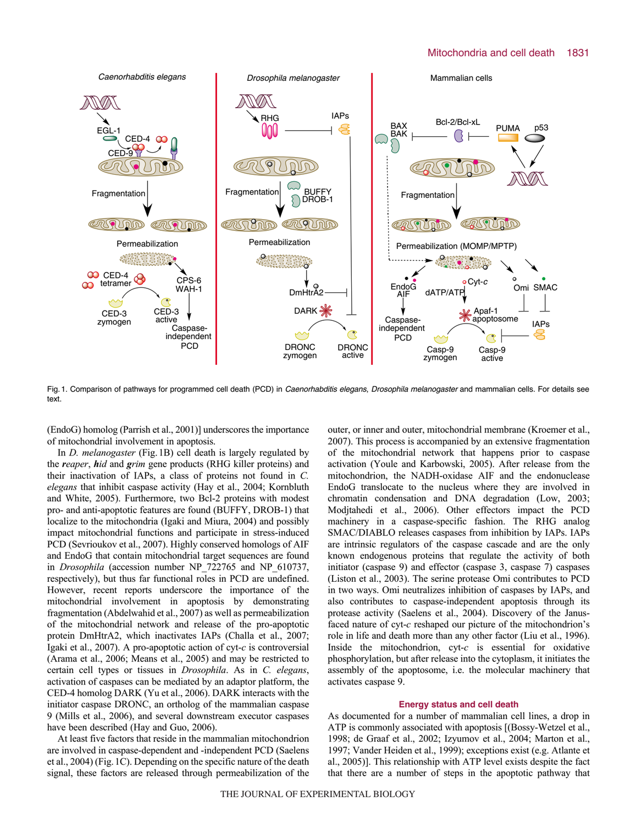### Mitochondria and cell death 1831



Fig. 1. Comparison of pathways for programmed cell death (PCD) in Caenorhabditis elegans, Drosophila melanogaster and mammalian cells. For details see text.

(EndoG) homolog (Parrish et al., 2001)] underscores the importance of mitochondrial involvement in apoptosis.

In *D. melanogaster* (Fig.1B) cell death is largely regulated by the *reaper*, *hid* and *grim* gene products (RHG killer proteins) and their inactivation of IAPs, a class of proteins not found in *C. elegans* that inhibit caspase activity (Hay et al., 2004; Kornbluth and White, 2005). Furthermore, two Bcl-2 proteins with modest pro- and anti-apoptotic features are found (BUFFY, DROB-1) that localize to the mitochondria (Igaki and Miura, 2004) and possibly impact mitochondrial functions and participate in stress-induced PCD (Sevrioukov et al., 2007). Highly conserved homologs of AIF and EndoG that contain mitochondrial target sequences are found in *Drosophila* (accession number NP\_722765 and NP\_610737, respectively), but thus far functional roles in PCD are undefined. However, recent reports underscore the importance of the mitochondrial involvement in apoptosis by demonstrating fragmentation (Abdelwahid et al., 2007) as well as permeabilization of the mitochondrial network and release of the pro-apoptotic protein DmHtrA2, which inactivates IAPs (Challa et al., 2007; Igaki et al., 2007). A pro-apoptotic action of cyt-*c* is controversial (Arama et al., 2006; Means et al., 2005) and may be restricted to certain cell types or tissues in *Drosophila*. As in *C. elegans*, activation of caspases can be mediated by an adaptor platform, the CED-4 homolog DARK (Yu et al., 2006). DARK interacts with the initiator caspase DRONC, an ortholog of the mammalian caspase 9 (Mills et al., 2006), and several downstream executor caspases have been described (Hay and Guo, 2006).

At least five factors that reside in the mammalian mitochondrion are involved in caspase-dependent and -independent PCD (Saelens et al., 2004) (Fig.1C). Depending on the specific nature of the death signal, these factors are released through permeabilization of the outer, or inner and outer, mitochondrial membrane (Kroemer et al., 2007). This process is accompanied by an extensive fragmentation of the mitochondrial network that happens prior to caspase activation (Youle and Karbowski, 2005). After release from the mitochondrion, the NADH-oxidase AIF and the endonuclease EndoG translocate to the nucleus where they are involved in chromatin condensation and DNA degradation (Low, 2003; Modjtahedi et al., 2006). Other effectors impact the PCD machinery in a caspase-specific fashion. The RHG analog SMAC/DIABLO releases caspases from inhibition by IAPs. IAPs are intrinsic regulators of the caspase cascade and are the only known endogenous proteins that regulate the activity of both initiator (caspase 9) and effector (caspase 3, caspase 7) caspases (Liston et al., 2003). The serine protease Omi contributes to PCD in two ways. Omi neutralizes inhibition of caspases by IAPs, and also contributes to caspase-independent apoptosis through its protease activity (Saelens et al., 2004). Discovery of the Janusfaced nature of cyt-*c* reshaped our picture of the mitochondrion's role in life and death more than any other factor (Liu et al., 1996). Inside the mitochondrion, cyt-*c* is essential for oxidative phosphorylation, but after release into the cytoplasm, it initiates the assembly of the apoptosome, i.e. the molecular machinery that activates caspase 9.

#### **Energy status and cell death**

As documented for a number of mammalian cell lines, a drop in ATP is commonly associated with apoptosis [(Bossy-Wetzel et al., 1998; de Graaf et al., 2002; Izyumov et al., 2004; Marton et al., 1997; Vander Heiden et al., 1999); exceptions exist (e.g. Atlante et al., 2005)]. This relationship with ATP level exists despite the fact that there are a number of steps in the apoptotic pathway that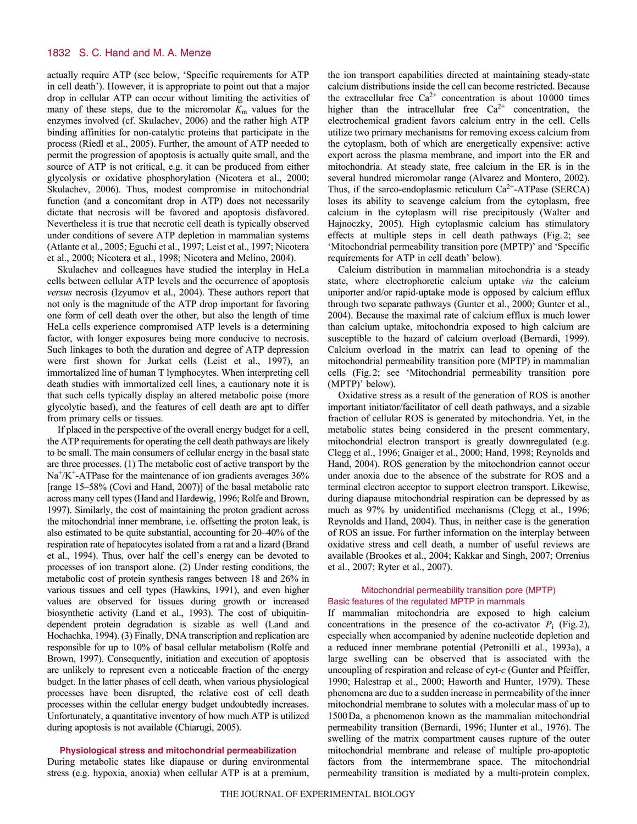actually require ATP (see below, 'Specific requirements for ATP in cell death'). However, it is appropriate to point out that a major drop in cellular ATP can occur without limiting the activities of many of these steps, due to the micromolar  $K<sub>m</sub>$  values for the enzymes involved (cf. Skulachev, 2006) and the rather high ATP binding affinities for non-catalytic proteins that participate in the process (Riedl et al., 2005). Further, the amount of ATP needed to permit the progression of apoptosis is actually quite small, and the source of ATP is not critical, e.g. it can be produced from either glycolysis or oxidative phosphorylation (Nicotera et al., 2000; Skulachev, 2006). Thus, modest compromise in mitochondrial function (and a concomitant drop in ATP) does not necessarily dictate that necrosis will be favored and apoptosis disfavored. Nevertheless it is true that necrotic cell death is typically observed under conditions of severe ATP depletion in mammalian systems (Atlante et al., 2005; Eguchi et al., 1997; Leist et al., 1997; Nicotera et al., 2000; Nicotera et al., 1998; Nicotera and Melino, 2004).

Skulachev and colleagues have studied the interplay in HeLa cells between cellular ATP levels and the occurrence of apoptosis *versus* necrosis (Izyumov et al., 2004). These authors report that not only is the magnitude of the ATP drop important for favoring one form of cell death over the other, but also the length of time HeLa cells experience compromised ATP levels is a determining factor, with longer exposures being more conducive to necrosis. Such linkages to both the duration and degree of ATP depression were first shown for Jurkat cells (Leist et al., 1997), an immortalized line of human T lymphocytes. When interpreting cell death studies with immortalized cell lines, a cautionary note it is that such cells typically display an altered metabolic poise (more glycolytic based), and the features of cell death are apt to differ from primary cells or tissues.

If placed in the perspective of the overall energy budget for a cell, the ATP requirements for operating the cell death pathways are likely to be small. The main consumers of cellular energy in the basal state are three processes. (1) The metabolic cost of active transport by the  $Na<sup>+</sup>/K<sup>+</sup>-ATPase$  for the maintenance of ion gradients averages 36% [range 15–58% (Covi and Hand, 2007)] of the basal metabolic rate across many cell types (Hand and Hardewig, 1996; Rolfe and Brown, 1997). Similarly, the cost of maintaining the proton gradient across the mitochondrial inner membrane, i.e. offsetting the proton leak, is also estimated to be quite substantial, accounting for 20–40% of the respiration rate of hepatocytes isolated from a rat and a lizard (Brand et al., 1994). Thus, over half the cell's energy can be devoted to processes of ion transport alone. (2) Under resting conditions, the metabolic cost of protein synthesis ranges between 18 and 26% in various tissues and cell types (Hawkins, 1991), and even higher values are observed for tissues during growth or increased biosynthetic activity (Land et al., 1993). The cost of ubiquitindependent protein degradation is sizable as well (Land and Hochachka, 1994). (3) Finally, DNA transcription and replication are responsible for up to 10% of basal cellular metabolism (Rolfe and Brown, 1997). Consequently, initiation and execution of apoptosis are unlikely to represent even a noticeable fraction of the energy budget. In the latter phases of cell death, when various physiological processes have been disrupted, the relative cost of cell death processes within the cellular energy budget undoubtedly increases. Unfortunately, a quantitative inventory of how much ATP is utilized during apoptosis is not available (Chiarugi, 2005).

### **Physiological stress and mitochondrial permeabilization**

During metabolic states like diapause or during environmental stress (e.g. hypoxia, anoxia) when cellular ATP is at a premium, the ion transport capabilities directed at maintaining steady-state calcium distributions inside the cell can become restricted. Because the extracellular free  $Ca^{2+}$  concentration is about 10000 times higher than the intracellular free  $Ca^{2+}$  concentration, the electrochemical gradient favors calcium entry in the cell. Cells utilize two primary mechanisms for removing excess calcium from the cytoplasm, both of which are energetically expensive: active export across the plasma membrane, and import into the ER and mitochondria. At steady state, free calcium in the ER is in the several hundred micromolar range (Alvarez and Montero, 2002). Thus, if the sarco-endoplasmic reticulum  $Ca^{2+}-ATP$ ase (SERCA) loses its ability to scavenge calcium from the cytoplasm, free calcium in the cytoplasm will rise precipitously (Walter and Hajnoczky, 2005). High cytoplasmic calcium has stimulatory effects at multiple steps in cell death pathways (Fig.2; see 'Mitochondrial permeability transition pore (MPTP)' and 'Specific requirements for ATP in cell death' below).

Calcium distribution in mammalian mitochondria is a steady state, where electrophoretic calcium uptake *via* the calcium uniporter and/or rapid-uptake mode is opposed by calcium efflux through two separate pathways (Gunter et al., 2000; Gunter et al., 2004). Because the maximal rate of calcium efflux is much lower than calcium uptake, mitochondria exposed to high calcium are susceptible to the hazard of calcium overload (Bernardi, 1999). Calcium overload in the matrix can lead to opening of the mitochondrial permeability transition pore (MPTP) in mammalian cells (Fig.2; see 'Mitochondrial permeability transition pore (MPTP)' below).

Oxidative stress as a result of the generation of ROS is another important initiator/facilitator of cell death pathways, and a sizable fraction of cellular ROS is generated by mitochondria. Yet, in the metabolic states being considered in the present commentary, mitochondrial electron transport is greatly downregulated (e.g. Clegg et al., 1996; Gnaiger et al., 2000; Hand, 1998; Reynolds and Hand, 2004). ROS generation by the mitochondrion cannot occur under anoxia due to the absence of the substrate for ROS and a terminal electron acceptor to support electron transport. Likewise, during diapause mitochondrial respiration can be depressed by as much as 97% by unidentified mechanisms (Clegg et al., 1996; Reynolds and Hand, 2004). Thus, in neither case is the generation of ROS an issue. For further information on the interplay between oxidative stress and cell death, a number of useful reviews are available (Brookes et al., 2004; Kakkar and Singh, 2007; Orrenius et al., 2007; Ryter et al., 2007).

### Mitochondrial permeability transition pore (MPTP) Basic features of the regulated MPTP in mammals

If mammalian mitochondria are exposed to high calcium concentrations in the presence of the co-activator  $P_i$  (Fig. 2), especially when accompanied by adenine nucleotide depletion and a reduced inner membrane potential (Petronilli et al., 1993a), a large swelling can be observed that is associated with the uncoupling of respiration and release of cyt-*c* (Gunter and Pfeiffer, 1990; Halestrap et al., 2000; Haworth and Hunter, 1979). These phenomena are due to a sudden increase in permeability of the inner mitochondrial membrane to solutes with a molecular mass of up to 1500Da, a phenomenon known as the mammalian mitochondrial permeability transition (Bernardi, 1996; Hunter et al., 1976). The swelling of the matrix compartment causes rupture of the outer mitochondrial membrane and release of multiple pro-apoptotic factors from the intermembrane space. The mitochondrial permeability transition is mediated by a multi-protein complex,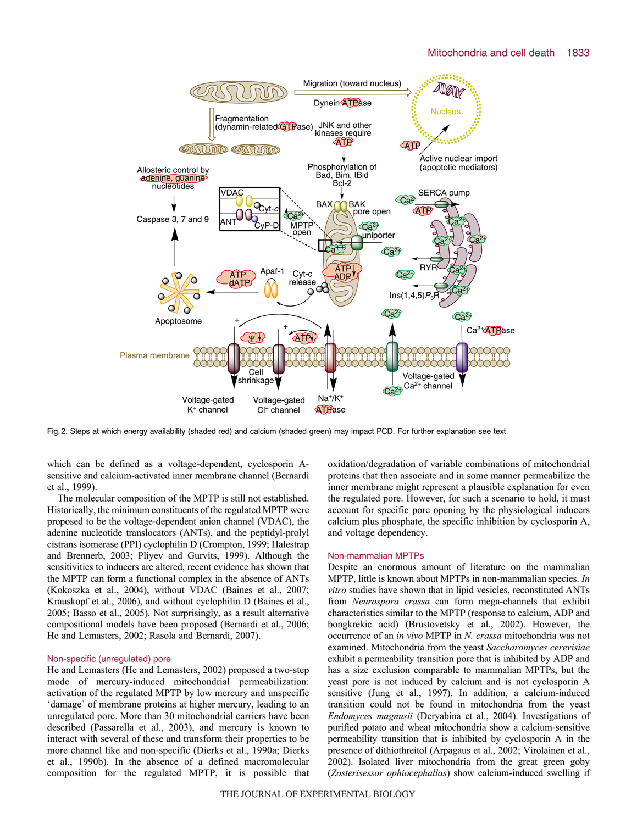

Fig. 2. Steps at which energy availability (shaded red) and calcium (shaded green) may impact PCD. For further explanation see text.

which can be defined as a voltage-dependent, cyclosporin Asensitive and calcium-activated inner membrane channel (Bernardi et al., 1999).

The molecular composition of the MPTP is still not established. Historically, the minimum constituents of the regulated MPTP were proposed to be the voltage-dependent anion channel (VDAC), the adenine nucleotide translocators (ANTs), and the peptidyl-prolyl cistrans isomerase (PPI) cyclophilin D (Crompton, 1999; Halestrap and Brennerb, 2003; Pliyev and Gurvits, 1999). Although the sensitivities to inducers are altered, recent evidence has shown that the MPTP can form a functional complex in the absence of ANTs (Kokoszka et al., 2004), without VDAC (Baines et al., 2007; Krauskopf et al., 2006), and without cyclophilin D (Baines et al., 2005; Basso et al., 2005). Not surprisingly, as a result alternative compositional models have been proposed (Bernardi et al., 2006; He and Lemasters, 2002; Rasola and Bernardi, 2007).

#### Non-specific (unregulated) pore

He and Lemasters (He and Lemasters, 2002) proposed a two-step mode of mercury-induced mitochondrial permeabilization: activation of the regulated MPTP by low mercury and unspecific 'damage' of membrane proteins at higher mercury, leading to an unregulated pore. More than 30 mitochondrial carriers have been described (Passarella et al., 2003), and mercury is known to interact with several of these and transform their properties to be more channel like and non-specific (Dierks et al., 1990a; Dierks et al., 1990b). In the absence of a defined macromolecular composition for the regulated MPTP, it is possible that oxidation/degradation of variable combinations of mitochondrial proteins that then associate and in some manner permeabilize the inner membrane might represent a plausible explanation for even the regulated pore. However, for such a scenario to hold, it must account for specific pore opening by the physiological inducers calcium plus phosphate, the specific inhibition by cyclosporin A, and voltage dependency.

#### Non-mammalian MPTPs

Despite an enormous amount of literature on the mammalian MPTP, little is known about MPTPs in non-mammalian species. *In vitro* studies have shown that in lipid vesicles, reconstituted ANTs from *Neurospora crassa* can form mega-channels that exhibit characteristics similar to the MPTP (response to calcium, ADP and bongkrekic acid) (Brustovetsky et al., 2002). However, the occurrence of an *in vivo* MPTP in *N. crassa* mitochondria was not examined. Mitochondria from the yeast *Saccharomyces cerevisiae* exhibit a permeability transition pore that is inhibited by ADP and has a size exclusion comparable to mammalian MPTPs, but the yeast pore is not induced by calcium and is not cyclosporin A sensitive (Jung et al., 1997). In addition, a calcium-induced transition could not be found in mitochondria from the yeast *Endomyces magnusii* (Deryabina et al., 2004). Investigations of purified potato and wheat mitochondria show a calcium-sensitive permeability transition that is inhibited by cyclosporin A in the presence of dithiothreitol (Arpagaus et al., 2002; Virolainen et al., 2002). Isolated liver mitochondria from the great green goby (*Zosterisessor ophiocephallas*) show calcium-induced swelling if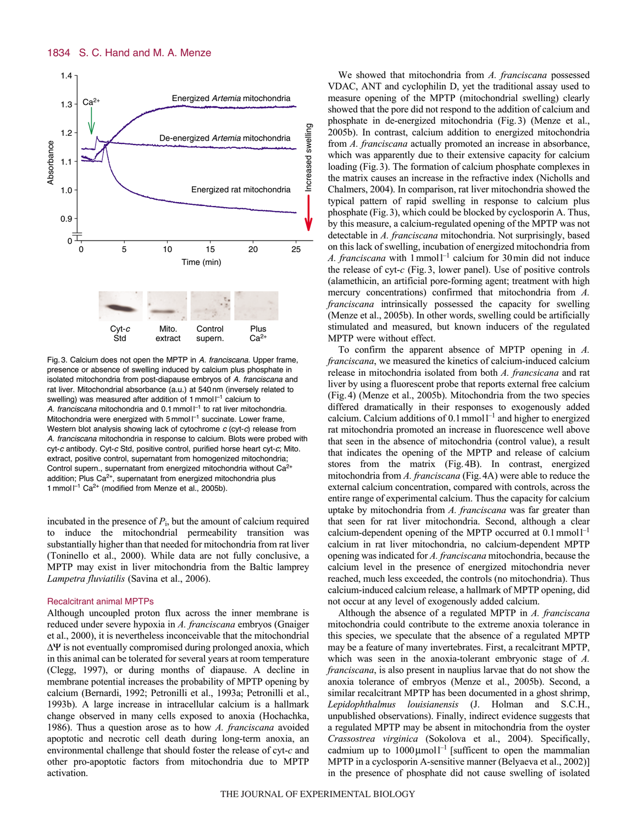

Fig. 3. Calcium does not open the MPTP in A. franciscana. Upper frame, presence or absence of swelling induced by calcium plus phosphate in isolated mitochondria from post-diapause embryos of A. franciscana and rat liver. Mitochondrial absorbance (a.u.) at 540 nm (inversely related to swelling) was measured after addition of 1 mmol  $I^{-1}$  calcium to A. franciscana mitochondria and 0.1 mmol  $I^{-1}$  to rat liver mitochondria. Mitochondria were energized with 5 mmol  $I^{-1}$  succinate. Lower frame, Western blot analysis showing lack of cytochrome  $c$  (cyt- $c$ ) release from A. franciscana mitochondria in response to calcium. Blots were probed with cyt-c antibody. Cyt-<sup>c</sup> Std, positive control, purified horse heart cyt-c; Mito. extract, positive control, supernatant from homogenized mitochondria; Control supern., supernatant from energized mitochondria without Ca<sup>2+</sup> addition; Plus  $Ca<sup>2+</sup>$ , supernatant from energized mitochondria plus 1 mmol  $I^{-1}$  Ca<sup>2+</sup> (modified from Menze et al., 2005b).

incubated in the presence of  $P_i$ , but the amount of calcium required to induce the mitochondrial permeability transition was substantially higher than that needed for mitochondria from rat liver (Toninello et al., 2000). While data are not fully conclusive, a MPTP may exist in liver mitochondria from the Baltic lamprey *Lampetra fluviatilis* (Savina et al., 2006).

#### Recalcitrant animal MPTPs

Although uncoupled proton flux across the inner membrane is reduced under severe hypoxia in *A. franciscana* embryos (Gnaiger et al., 2000), it is nevertheless inconceivable that the mitochondrial  $\Delta \Psi$  is not eventually compromised during prolonged anoxia, which in this animal can be tolerated for several years at room temperature (Clegg, 1997), or during months of diapause. A decline in membrane potential increases the probability of MPTP opening by calcium (Bernardi, 1992; Petronilli et al., 1993a; Petronilli et al., 1993b). A large increase in intracellular calcium is a hallmark change observed in many cells exposed to anoxia (Hochachka, 1986). Thus a question arose as to how *A. franciscana* avoided apoptotic and necrotic cell death during long-term anoxia, an environmental challenge that should foster the release of cyt-*c* and other pro-apoptotic factors from mitochondria due to MPTP activation.

We showed that mitochondria from *A. franciscana* possessed VDAC, ANT and cyclophilin D, yet the traditional assay used to measure opening of the MPTP (mitochondrial swelling) clearly showed that the pore did not respond to the addition of calcium and phosphate in de-energized mitochondria (Fig.3) (Menze et al., 2005b). In contrast, calcium addition to energized mitochondria from *A. franciscana* actually promoted an increase in absorbance, which was apparently due to their extensive capacity for calcium loading (Fig.3). The formation of calcium phosphate complexes in the matrix causes an increase in the refractive index (Nicholls and Chalmers, 2004). In comparison, rat liver mitochondria showed the typical pattern of rapid swelling in response to calcium plus phosphate (Fig.3), which could be blocked by cyclosporin A. Thus, by this measure, a calcium-regulated opening of the MPTP was not detectable in *A. franciscana* mitochondria. Not surprisingly, based on this lack of swelling, incubation of energized mitochondria from *A. franciscana* with 1mmoll–1 calcium for 30min did not induce the release of cyt-*c* (Fig.3, lower panel). Use of positive controls (alamethicin, an artificial pore-forming agent; treatment with high mercury concentrations) confirmed that mitochondria from *A. franciscana* intrinsically possessed the capacity for swelling (Menze et al., 2005b). In other words, swelling could be artificially stimulated and measured, but known inducers of the regulated MPTP were without effect.

To confirm the apparent absence of MPTP opening in *A. franciscana*, we measured the kinetics of calcium-induced calcium release in mitochondria isolated from both *A. francsicana* and rat liver by using a fluorescent probe that reports external free calcium (Fig.4) (Menze et al., 2005b). Mitochondria from the two species differed dramatically in their responses to exogenously added calcium. Calcium additions of  $0.1$  mmoll<sup>-1</sup> and higher to energized rat mitochondria promoted an increase in fluorescence well above that seen in the absence of mitochondria (control value), a result that indicates the opening of the MPTP and release of calcium stores from the matrix (Fig.4B). In contrast, energized mitochondria from *A. franciscana* (Fig.4A) were able to reduce the external calcium concentration, compared with controls, across the entire range of experimental calcium. Thus the capacity for calcium uptake by mitochondria from *A. franciscana* was far greater than that seen for rat liver mitochondria. Second, although a clear calcium-dependent opening of the MPTP occurred at  $0.1$  mmol<sup> $-1$ </sup> calcium in rat liver mitochondria, no calcium-dependent MPTP opening was indicated for *A. franciscana* mitochondria, because the calcium level in the presence of energized mitochondria never reached, much less exceeded, the controls (no mitochondria). Thus calcium-induced calcium release, a hallmark of MPTP opening, did not occur at any level of exogenously added calcium.

Although the absence of a regulated MPTP in *A. franciscana* mitochondria could contribute to the extreme anoxia tolerance in this species, we speculate that the absence of a regulated MPTP may be a feature of many invertebrates. First, a recalcitrant MPTP, which was seen in the anoxia-tolerant embryonic stage of *A. franciscana*, is also present in nauplius larvae that do not show the anoxia tolerance of embryos (Menze et al., 2005b). Second, a similar recalcitrant MPTP has been documented in a ghost shrimp, *Lepidophthalmus louisianensis* (J. Holman and S.C.H., unpublished observations). Finally, indirect evidence suggests that a regulated MPTP may be absent in mitochondria from the oyster *Crassostrea virginica* (Sokolova et al., 2004). Specifically, cadmium up to  $1000 \mu$ moll<sup>-1</sup> [sufficent to open the mammalian MPTP in a cyclosporin A-sensitive manner (Belyaeva et al., 2002)] in the presence of phosphate did not cause swelling of isolated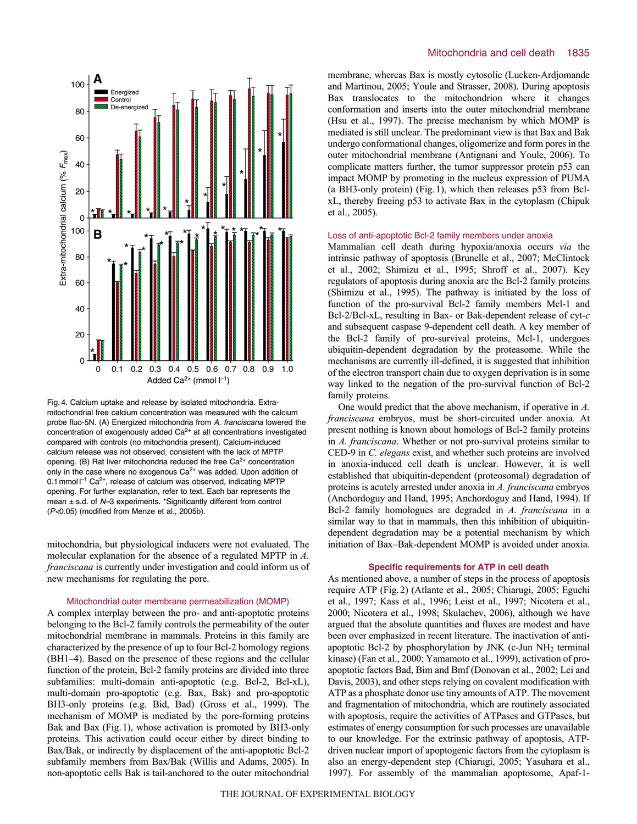

Fig. 4. Calcium uptake and release by isolated mitochondria. Extramitochondrial free calcium concentration was measured with the calcium probe fluo-5N. (A) Energized mitochondria from A. franciscana lowered the concentration of exogenously added  $Ca<sup>2+</sup>$  at all concentrations investigated compared with controls (no mitochondria present). Calcium-induced calcium release was not observed, consistent with the lack of MPTP opening. (B) Rat liver mitochondria reduced the free  $Ca<sup>2+</sup>$  concentration only in the case where no exogenous  $Ca^{2+}$  was added. Upon addition of 0.1 mmol  $I^{-1}$  Ca<sup>2+</sup>, release of calcium was observed, indicating MPTP opening. For further explanation, refer to text. Each bar represents the mean  $\pm$  s.d. of N=3 experiments. \*Significantly different from control (P<0.05) (modified from Menze et al., 2005b).

mitochondria, but physiological inducers were not evaluated. The molecular explanation for the absence of a regulated MPTP in *A. franciscana* is currently under investigation and could inform us of new mechanisms for regulating the pore.

#### Mitochondrial outer membrane permeabilization (MOMP)

A complex interplay between the pro- and anti-apoptotic proteins belonging to the Bcl-2 family controls the permeability of the outer mitochondrial membrane in mammals. Proteins in this family are characterized by the presence of up to four Bcl-2 homology regions (BH1–4). Based on the presence of these regions and the cellular function of the protein, Bcl-2 family proteins are divided into three subfamilies: multi-domain anti-apoptotic (e.g. Bcl-2, Bcl-xL), multi-domain pro-apoptotic (e.g. Bax, Bak) and pro-apoptotic BH3-only proteins (e.g. Bid, Bad) (Gross et al., 1999). The mechanism of MOMP is mediated by the pore-forming proteins Bak and Bax (Fig.1), whose activation is promoted by BH3-only proteins. This activation could occur either by direct binding to Bax/Bak, or indirectly by displacement of the anti-apoptotic Bcl-2 subfamily members from Bax/Bak (Willis and Adams, 2005). In non-apoptotic cells Bak is tail-anchored to the outer mitochondrial membrane, whereas Bax is mostly cytosolic (Lucken-Ardjomande and Martinou, 2005; Youle and Strasser, 2008). During apoptosis Bax translocates to the mitochondrion where it changes conformation and inserts into the outer mitochondrial membrane (Hsu et al., 1997). The precise mechanism by which MOMP is mediated is still unclear. The predominant view is that Bax and Bak undergo conformational changes, oligomerize and form pores in the outer mitochondrial membrane (Antignani and Youle, 2006). To complicate matters further, the tumor suppressor protein p53 can impact MOMP by promoting in the nucleus expression of PUMA (a BH3-only protein) (Fig.1), which then releases p53 from BclxL, thereby freeing p53 to activate Bax in the cytoplasm (Chipuk et al., 2005).

#### Loss of anti-apoptotic Bcl-2 family members under anoxia

Mammalian cell death during hypoxia/anoxia occurs *via* the intrinsic pathway of apoptosis (Brunelle et al., 2007; McClintock et al., 2002; Shimizu et al., 1995; Shroff et al., 2007). Key regulators of apoptosis during anoxia are the Bcl-2 family proteins (Shimizu et al., 1995). The pathway is initiated by the loss of function of the pro-survival Bcl-2 family members Mcl-1 and Bcl-2/Bcl-xL, resulting in Bax- or Bak-dependent release of cyt-*c* and subsequent caspase 9-dependent cell death. A key member of the Bcl-2 family of pro-survival proteins, Mcl-1, undergoes ubiquitin-dependent degradation by the proteasome. While the mechanisms are currently ill-defined, it is suggested that inhibition of the electron transport chain due to oxygen deprivation is in some way linked to the negation of the pro-survival function of Bcl-2 family proteins.

One would predict that the above mechanism, if operative in *A. franciscana* embryos, must be short-circuited under anoxia. At present nothing is known about homologs of Bcl-2 family proteins in *A. franciscana*. Whether or not pro-survival proteins similar to CED-9 in *C. elegans* exist, and whether such proteins are involved in anoxia-induced cell death is unclear. However, it is well established that ubiquitin-dependent (proteosomal) degradation of proteins is acutely arrested under anoxia in *A. franciscana* embryos (Anchordoguy and Hand, 1995; Anchordoguy and Hand, 1994). If Bcl-2 family homologues are degraded in *A. franciscana* in a similar way to that in mammals, then this inhibition of ubiquitindependent degradation may be a potential mechanism by which initiation of Bax–Bak-dependent MOMP is avoided under anoxia.

#### **Specific requirements for ATP in cell death**

As mentioned above, a number of steps in the process of apoptosis require ATP (Fig.2) (Atlante et al., 2005; Chiarugi, 2005; Eguchi et al., 1997; Kass et al., 1996; Leist et al., 1997; Nicotera et al., 2000; Nicotera et al., 1998; Skulachev, 2006), although we have argued that the absolute quantities and fluxes are modest and have been over emphasized in recent literature. The inactivation of antiapoptotic Bcl-2 by phosphorylation by JNK (c-Jun NH2 terminal kinase) (Fan et al., 2000; Yamamoto et al., 1999), activation of proapoptotic factors Bad, Bim and Bmf (Donovan et al., 2002; Lei and Davis, 2003), and other steps relying on covalent modification with ATP as a phosphate donor use tiny amounts of ATP. The movement and fragmentation of mitochondria, which are routinely associated with apoptosis, require the activities of ATPases and GTPases, but estimates of energy consumption for such processes are unavailable to our knowledge. For the extrinsic pathway of apoptosis, ATPdriven nuclear import of apoptogenic factors from the cytoplasm is also an energy-dependent step (Chiarugi, 2005; Yasuhara et al., 1997). For assembly of the mammalian apoptosome, Apaf-1-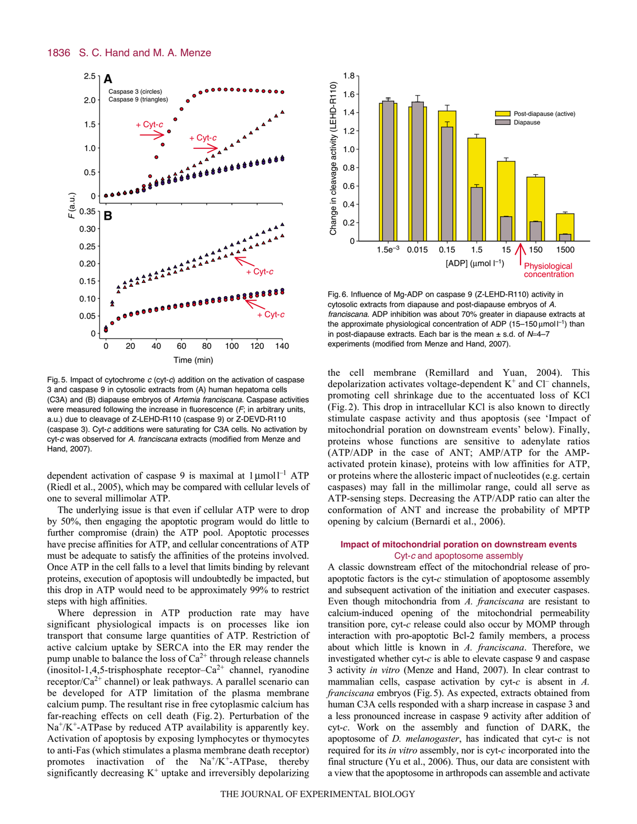

Fig. 5. Impact of cytochrome  $c$  (cyt-c) addition on the activation of caspase 3 and caspase 9 in cytosolic extracts from (A) human hepatoma cells (C3A) and (B) diapause embryos of Artemia franciscana. Caspase activities were measured following the increase in fluorescence  $(F; \text{in arbitrary units},$ a.u.) due to cleavage of Z-LEHD-R110 (caspase 9) or Z-DEVD-R110 (caspase 3). Cyt-<sup>c</sup> additions were saturating for C3A cells. No activation by cyt-c was observed for A. franciscana extracts (modified from Menze and Hand, 2007).

dependent activation of caspase 9 is maximal at  $1 \mu$ mol $1^{-1}$  ATP (Riedl et al., 2005), which may be compared with cellular levels of one to several millimolar ATP.

The underlying issue is that even if cellular ATP were to drop by 50%, then engaging the apoptotic program would do little to further compromise (drain) the ATP pool. Apoptotic processes have precise affinities for ATP, and cellular concentrations of ATP must be adequate to satisfy the affinities of the proteins involved. Once ATP in the cell falls to a level that limits binding by relevant proteins, execution of apoptosis will undoubtedly be impacted, but this drop in ATP would need to be approximately 99% to restrict steps with high affinities.

Where depression in ATP production rate may have significant physiological impacts is on processes like ion transport that consume large quantities of ATP. Restriction of active calcium uptake by SERCA into the ER may render the pump unable to balance the loss of  $Ca^{2+}$  through release channels  $($ inositol-1,4,5-trisphosphate receptor–Ca<sup>2+</sup> channel, ryanodine receptor/ $Ca^{2+}$  channel) or leak pathways. A parallel scenario can be developed for ATP limitation of the plasma membrane calcium pump. The resultant rise in free cytoplasmic calcium has far-reaching effects on cell death (Fig.2). Perturbation of the  $Na<sup>+</sup>/K<sup>+</sup>-ATPase$  by reduced ATP availability is apparently key. Activation of apoptosis by exposing lymphocytes or thymocytes to anti-Fas (which stimulates a plasma membrane death receptor) promotes inactivation of the  $Na^+/K^+$ -ATPase, thereby significantly decreasing  $K^+$  uptake and irreversibly depolarizing



Fig. 6. Influence of Mg-ADP on caspase 9 (Z-LEHD-R110) activity in cytosolic extracts from diapause and post-diapause embryos of A. franciscana. ADP inhibition was about 70% greater in diapause extracts at the approximate physiological concentration of ADP (15-150  $\mu$ mol  $I^{-1}$ ) than in post-diapause extracts. Each bar is the mean  $\pm$  s.d. of  $N=4-7$ experiments (modified from Menze and Hand, 2007).

the cell membrane (Remillard and Yuan, 2004). This depolarization activates voltage-dependent  $K^+$  and  $Cl^-$  channels, promoting cell shrinkage due to the accentuated loss of KCl (Fig.2). This drop in intracellular KCl is also known to directly stimulate caspase activity and thus apoptosis (see 'Impact of mitochondrial poration on downstream events' below). Finally, proteins whose functions are sensitive to adenylate ratios (ATP/ADP in the case of ANT; AMP/ATP for the AMPactivated protein kinase), proteins with low affinities for ATP, or proteins where the allosteric impact of nucleotides (e.g. certain caspases) may fall in the millimolar range, could all serve as ATP-sensing steps. Decreasing the ATP/ADP ratio can alter the conformation of ANT and increase the probability of MPTP opening by calcium (Bernardi et al., 2006).

### **Impact of mitochondrial poration on downstream events** Cyt-c and apoptosome assembly

A classic downstream effect of the mitochondrial release of proapoptotic factors is the cyt-*c* stimulation of apoptosome assembly and subsequent activation of the initiation and executer caspases. Even though mitochondria from *A. franciscana* are resistant to calcium-induced opening of the mitochondrial permeability transition pore, cyt-*c* release could also occur by MOMP through interaction with pro-apoptotic Bcl-2 family members, a process about which little is known in *A. franciscana*. Therefore, we investigated whether cyt-*c* is able to elevate caspase 9 and caspase 3 activity *in vitro* (Menze and Hand, 2007). In clear contrast to mammalian cells, caspase activation by cyt-*c* is absent in *A. franciscana* embryos (Fig.5). As expected, extracts obtained from human C3A cells responded with a sharp increase in caspase 3 and a less pronounced increase in caspase 9 activity after addition of cyt-*c*. Work on the assembly and function of DARK, the apoptosome of *D. melanogaster*, has indicated that cyt-*c* is not required for its *in vitro* assembly, nor is cyt-*c* incorporated into the final structure (Yu et al., 2006). Thus, our data are consistent with a view that the apoptosome in arthropods can assemble and activate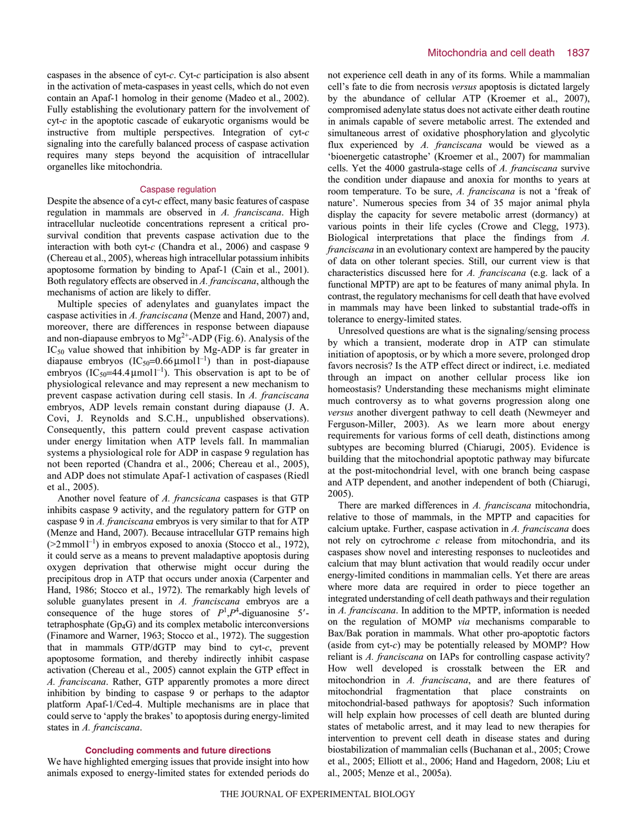caspases in the absence of cyt-*c*. Cyt-*c* participation is also absent in the activation of meta-caspases in yeast cells, which do not even contain an Apaf-1 homolog in their genome (Madeo et al., 2002). Fully establishing the evolutionary pattern for the involvement of cyt-*c* in the apoptotic cascade of eukaryotic organisms would be instructive from multiple perspectives. Integration of cyt-*c* signaling into the carefully balanced process of caspase activation requires many steps beyond the acquisition of intracellular organelles like mitochondria.

#### Caspase regulation

Despite the absence of a cyt-*c* effect, many basic features of caspase regulation in mammals are observed in *A. franciscana*. High intracellular nucleotide concentrations represent a critical prosurvival condition that prevents caspase activation due to the interaction with both cyt-*c* (Chandra et al., 2006) and caspase 9 (Chereau et al., 2005), whereas high intracellular potassium inhibits apoptosome formation by binding to Apaf-1 (Cain et al., 2001). Both regulatory effects are observed in *A. franciscana*, although the mechanisms of action are likely to differ.

Multiple species of adenylates and guanylates impact the caspase activities in *A. franciscana* (Menze and Hand, 2007) and, moreover, there are differences in response between diapause and non-diapause embryos to  $Mg^{2+}$ -ADP (Fig. 6). Analysis of the  $IC_{50}$  value showed that inhibition by Mg-ADP is far greater in diapause embryos  $(IC_{50} = 0.66 \mu mol l^{-1})$  than in post-diapause embryos  $(IC_{50} = 44.4 \mu mol l^{-1})$ . This observation is apt to be of physiological relevance and may represent a new mechanism to prevent caspase activation during cell stasis. In *A. franciscana* embryos, ADP levels remain constant during diapause (J. A. Covi, J. Reynolds and S.C.H., unpublished observations). Consequently, this pattern could prevent caspase activation under energy limitation when ATP levels fall. In mammalian systems a physiological role for ADP in caspase 9 regulation has not been reported (Chandra et al., 2006; Chereau et al., 2005), and ADP does not stimulate Apaf-1 activation of caspases (Riedl et al., 2005).

Another novel feature of *A. francsicana* caspases is that GTP inhibits caspase 9 activity, and the regulatory pattern for GTP on caspase 9 in *A. franciscana* embryos is very similar to that for ATP (Menze and Hand, 2007). Because intracellular GTP remains high  $(22 \text{mmol}^{-1})$  in embryos exposed to anoxia (Stocco et al., 1972), it could serve as a means to prevent maladaptive apoptosis during oxygen deprivation that otherwise might occur during the precipitous drop in ATP that occurs under anoxia (Carpenter and Hand, 1986; Stocco et al., 1972). The remarkably high levels of soluble guanylates present in *A. franciscana* embryos are a consequence of the huge stores of  $P^1, P^4$ -diguanosine 5'tetraphosphate (Gp4G) and its complex metabolic interconversions (Finamore and Warner, 1963; Stocco et al., 1972). The suggestion that in mammals GTP/dGTP may bind to cyt-*c*, prevent apoptosome formation, and thereby indirectly inhibit caspase activation (Chereau et al., 2005) cannot explain the GTP effect in *A. franciscana*. Rather, GTP apparently promotes a more direct inhibition by binding to caspase 9 or perhaps to the adaptor platform Apaf-1/Ced-4. Multiple mechanisms are in place that could serve to 'apply the brakes' to apoptosis during energy-limited states in *A. franciscana*.

#### **Concluding comments and future directions**

We have highlighted emerging issues that provide insight into how animals exposed to energy-limited states for extended periods do not experience cell death in any of its forms. While a mammalian cell's fate to die from necrosis *versus* apoptosis is dictated largely by the abundance of cellular ATP (Kroemer et al., 2007), compromised adenylate status does not activate either death routine in animals capable of severe metabolic arrest. The extended and simultaneous arrest of oxidative phosphorylation and glycolytic flux experienced by *A. franciscana* would be viewed as a 'bioenergetic catastrophe' (Kroemer et al., 2007) for mammalian cells. Yet the 4000 gastrula-stage cells of *A. franciscana* survive the condition under diapause and anoxia for months to years at room temperature. To be sure, *A. franciscana* is not a 'freak of nature'. Numerous species from 34 of 35 major animal phyla display the capacity for severe metabolic arrest (dormancy) at various points in their life cycles (Crowe and Clegg, 1973). Biological interpretations that place the findings from *A. franciscana* in an evolutionary context are hampered by the paucity of data on other tolerant species. Still, our current view is that characteristics discussed here for *A. franciscana* (e.g. lack of a functional MPTP) are apt to be features of many animal phyla. In contrast, the regulatory mechanisms for cell death that have evolved in mammals may have been linked to substantial trade-offs in tolerance to energy-limited states.

Unresolved questions are what is the signaling/sensing process by which a transient, moderate drop in ATP can stimulate initiation of apoptosis, or by which a more severe, prolonged drop favors necrosis? Is the ATP effect direct or indirect, i.e. mediated through an impact on another cellular process like ion homeostasis? Understanding these mechanisms might eliminate much controversy as to what governs progression along one *versus* another divergent pathway to cell death (Newmeyer and Ferguson-Miller, 2003). As we learn more about energy requirements for various forms of cell death, distinctions among subtypes are becoming blurred (Chiarugi, 2005). Evidence is building that the mitochondrial apoptotic pathway may bifurcate at the post-mitochondrial level, with one branch being caspase and ATP dependent, and another independent of both (Chiarugi, 2005).

There are marked differences in *A. franciscana* mitochondria, relative to those of mammals, in the MPTP and capacities for calcium uptake. Further, caspase activation in *A. franciscana* does not rely on cytrochrome *c* release from mitochondria, and its caspases show novel and interesting responses to nucleotides and calcium that may blunt activation that would readily occur under energy-limited conditions in mammalian cells. Yet there are areas where more data are required in order to piece together an integrated understanding of cell death pathways and their regulation in *A. franciscana*. In addition to the MPTP, information is needed on the regulation of MOMP *via* mechanisms comparable to Bax/Bak poration in mammals. What other pro-apoptotic factors (aside from cyt-*c*) may be potentially released by MOMP? How reliant is *A. franciscana* on IAPs for controlling caspase activity? How well developed is crosstalk between the ER and mitochondrion in *A. franciscana*, and are there features of mitochondrial fragmentation that place constraints on mitochondrial-based pathways for apoptosis? Such information will help explain how processes of cell death are blunted during states of metabolic arrest, and it may lead to new therapies for intervention to prevent cell death in disease states and during biostabilization of mammalian cells (Buchanan et al., 2005; Crowe et al., 2005; Elliott et al., 2006; Hand and Hagedorn, 2008; Liu et al., 2005; Menze et al., 2005a).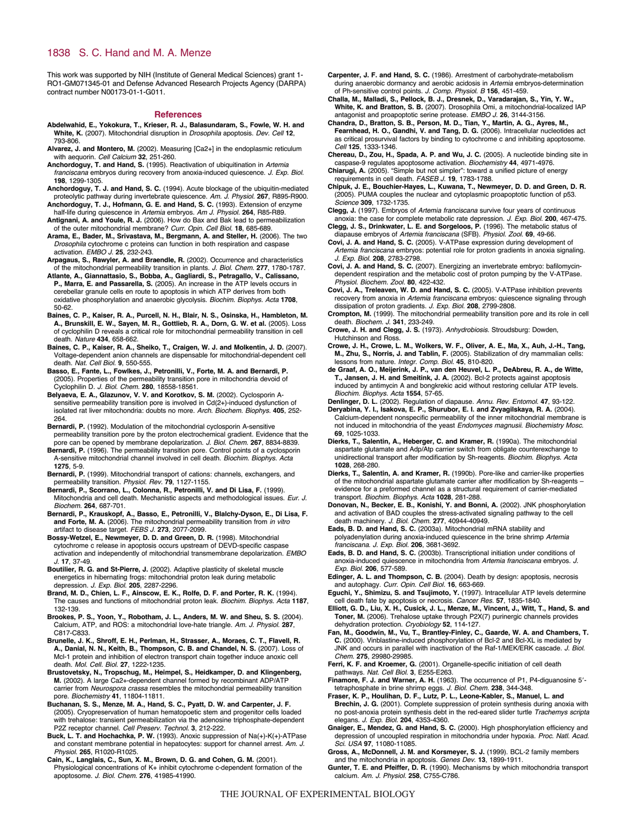This work was supported by NIH (Institute of General Medical Sciences) grant 1- RO1-GM071345-01 and Defense Advanced Research Projects Agency (DARPA) contract number N00173-01-1-G011.

#### **References**

- **Abdelwahid, E., Yokokura, T., Krieser, R. J., Balasundaram, S., Fowle, W. H. and White, K.** (2007). Mitochondrial disruption in Drosophila apoptosis. Dev. Cell **12**, 793-806.
- **Alvarez, J. and Montero, M.** (2002). Measuring [Ca2+] in the endoplasmic reticulum with aequorin. Cell Calcium **32**, 251-260.
- **Anchordoguy, T. and Hand, S.** (1995). Reactivation of ubiquitination in Artemia franciscana embryos during recovery from anoxia-induced quiescence. J. Exp. Biol. **198**, 1299-1305.
- **Anchordoguy, T. J. and Hand, S. C.** (1994). Acute blockage of the ubiquitin-mediated proteolytic pathway during invertebrate quiescence. Am. J. Physiol. **267**, R895-R900. **Anchordoguy, T. J., Hofmann, G. E. and Hand, S. C.** (1993). Extension of enzyme
- half-life during quiescence in Artemia embryos. Am J. Physiol. **264**, R85-R89. **Antignani, A. and Youle, R. J.** (2006). How do Bax and Bak lead to permeabilization of the outer mitochondrial membrane? Curr. Opin. Cell Biol. **18**, 685-689.
- **Arama, E., Bader, M., Srivastava, M., Bergmann, A. and Steller, H.** (2006). The two Drosophila cytochrome c proteins can function in both respiration and caspase activation. EMBO J. **25**, 232-243.
- **Arpagaus, S., Rawyler, A. and Braendle, R.** (2002). Occurrence and characteristics of the mitochondrial permeability transition in plants. J. Biol. Chem. **277**, 1780-1787.
- **Atlante, A., Giannattasio, S., Bobba, A., Gagliardi, S., Petragallo, V., Calissano, P., Marra, E. and Passarella, S.** (2005). An increase in the ATP levels occurs in cerebellar granule cells en route to apoptosis in which ATP derives from both oxidative phosphorylation and anaerobic glycolysis. Biochim. Biophys. Acta **1708**, 50-62.
- **Baines, C. P., Kaiser, R. A., Purcell, N. H., Blair, N. S., Osinska, H., Hambleton, M. A., Brunskill, E. W., Sayen, M. R., Gottlieb, R. A., Dorn, G. W. et al.** (2005). Loss of cyclophilin D reveals a critical role for mitochondrial permeability transition in cell death. Nature **434**, 658-662.
- **Baines, C. P., Kaiser, R. A., Sheiko, T., Craigen, W. J. and Molkentin, J. D.** (2007). Voltage-dependent anion channels are dispensable for mitochondrial-dependent cell death. Nat. Cell Biol. **9**, 550-555.
- **Basso, E., Fante, L., Fowlkes, J., Petronilli, V., Forte, M. A. and Bernardi, P.** (2005). Properties of the permeability transition pore in mitochondria devoid of Cyclophilin D. J. Biol. Chem. **280**, 18558-18561.
- **Belyaeva, E. A., Glazunov, V. V. and Korotkov, S. M.** (2002). Cyclosporin Asensitive permeability transition pore is involved in Cd(2+)-induced dysfunction of isolated rat liver mitochondria: doubts no more. Arch. Biochem. Biophys. **405**, 252- 264.
- **Bernardi, P.** (1992). Modulation of the mitochondrial cyclosporin A-sensitive permeability transition pore by the proton electrochemical gradient. Evidence that the pore can be opened by membrane depolarization. J. Biol. Chem. **267**, 8834-8839.
- **Bernardi, P.** (1996). The permeability transition pore. Control points of a cyclosporin A-sensitive mitochondrial channel involved in cell death. Biochim. Biophys. Acta **1275**, 5-9.
- **Bernardi, P.** (1999). Mitochondrial transport of cations: channels, exchangers, and permeability transition. Physiol. Rev. **79**, 1127-1155.
- **Bernardi, P., Scorrano, L., Colonna, R., Petronilli, V. and Di Lisa, F.** (1999). Mitochondria and cell death. Mechanistic aspects and methodological issues. Eur. J. Biochem. **264**, 687-701.
- **Bernardi, P., Krauskopf, A., Basso, E., Petronilli, V., Blalchy-Dyson, E., Di Lisa, F.** and Forte, M. A. (2006). The mitochondrial permeability transition from in vitro artifact to disease target. FEBS J. **273**, 2077-2099.
- **Bossy-Wetzel, E., Newmeyer, D. D. and Green, D. R.** (1998). Mitochondrial cytochrome c release in apoptosis occurs upstream of DEVD-specific caspase activation and independently of mitochondrial transmembrane depolarization. EMBO J. **17**, 37-49.
- **Boutilier, R. G. and St-Pierre, J.** (2002). Adaptive plasticity of skeletal muscle energetics in hibernating frogs: mitochondrial proton leak during metabolic depression. J. Exp. Biol. **205**, 2287-2296.
- **Brand, M. D., Chien, L. F., Ainscow, E. K., Rolfe, D. F. and Porter, R. K.** (1994). The causes and functions of mitochondrial proton leak. Biochim. Biophys. Acta **1187**, 132-139.
- **Brookes, P. S., Yoon, Y., Robotham, J. L., Anders, M. W. and Sheu, S. S.** (2004). Calcium, ATP, and ROS: a mitochondrial love-hate triangle. Am. J. Physiol. **287**, C817-C833.
- **Brunelle, J. K., Shroff, E. H., Perlman, H., Strasser, A., Moraes, C. T., Flavell, R. A., Danial, N. N., Keith, B., Thompson, C. B. and Chandel, N. S.** (2007). Loss of Mcl-1 protein and inhibition of electron transport chain together induce anoxic cell death. Mol. Cell. Biol. **27**, 1222-1235.
- **Brustovetsky, N., Tropschug, M., Heimpel, S., Heidkamper, D. and Klingenberg, M.** (2002). A large Ca2+-dependent channel formed by recombinant ADP/ATP carrier from Neurospora crassa resembles the mitochondrial permeability transition pore. Biochemistry **41**, 11804-11811.
- **Buchanan, S. S., Menze, M. A., Hand, S. C., Pyatt, D. W. and Carpenter, J. F.** (2005). Cryopreservation of human hematopoetic stem and progenitor cells loaded with trehalose: transient permeabilization via the adenosine triphosphate-dependent P2Z receptor channel. Cell Preserv. Technol. **3**, 212-222.
- **Buck, L. T. and Hochachka, P. W.** (1993). Anoxic suppression of Na(+)-K(+)-ATPase and constant membrane potential in hepatocytes: support for channel arrest. Am. J. Physiol. **265**, R1020-R1025.
- **Cain, K., Langlais, C., Sun, X. M., Brown, D. G. and Cohen, G. M.** (2001). Physiological concentrations of K+ inhibit cytochrome c-dependent formation of the apoptosome. J. Biol. Chem. **276**, 41985-41990.
- **Carpenter, J. F. and Hand, S. C.** (1986). Arrestment of carbohydrate-metabolism during anaerobic dormancy and aerobic acidosis in Artemia embryos-determination of Ph-sensitive control points. J. Comp. Physiol. B **156**, 451-459.
- **Challa, M., Malladi, S., Pellock, B. J., Dresnek, D., Varadarajan, S., Yin, Y. W., White, K. and Bratton, S. B.** (2007). Drosophila Omi, a mitochondrial-localized IAP antagonist and proapoptotic serine protease. EMBO J. **26**, 3144-3156.
- **Chandra, D., Bratton, S. B., Person, M. D., Tian, Y., Martin, A. G., Ayres, M., Fearnhead, H. O., Gandhi, V. and Tang, D. G.** (2006). Intracellular nucleotides act as critical prosurvival factors by binding to cytochrome c and inhibiting apoptosome. Cell **125**, 1333-1346.
- **Chereau, D., Zou, H., Spada, A. P. and Wu, J. C.** (2005). A nucleotide binding site in caspase-9 regulates apoptosome activation. Biochemistry **44**, 4971-4976.
- **Chiarugi, A.** (2005). "Simple but not simpler": toward a unified picture of energy requirements in cell death. FASEB J. **19**, 1783-1788.
- **Chipuk, J. E., Bouchier-Hayes, L., Kuwana, T., Newmeyer, D. D. and Green, D. R.** (2005). PUMA couples the nuclear and cytoplasmic proapoptotic function of p53. Science **309**, 1732-1735.
- **Clegg, J.** (1997). Embryos of Artemia franciscana survive four years of continuous anoxia: the case for complete metabolic rate depression. J. Exp. Biol. **200**, 467-475.
- **Clegg, J. S., Drinkwater, L. E. and Sorgeloos, P.** (1996). The metabolic status of diapause embryos of Artemia franciscana (SFB). Physiol. Zool. **69**, 49-66.
- **Covi, J. A. and Hand, S. C.** (2005). V-ATPase expression during development of Artemia franciscana embryos: potential role for proton gradients in anoxia signaling. J. Exp. Biol. **208**, 2783-2798.
- **Covi, J. A. and Hand, S. C.** (2007). Energizing an invertebrate embryo: bafilomycindependent respiration and the metabolic cost of proton pumping by the V-ATPase. Physiol. Biochem. Zool. **80**, 422-432.
- **Covi, J. A., Treleaven, W. D. and Hand, S. C.** (2005). V-ATPase inhibition prevents recovery from anoxia in *Artemia franciscana* embryos: quiescence signaling through dissipation of proton gradients. J. Exp. Biol. **208**, 2799-2808.
- **Crompton, M.** (1999). The mitochondrial permeability transition pore and its role in cell death. Biochem. J. **341**, 233-249.
- **Crowe, J. H. and Clegg, J. S.** (1973). Anhydrobiosis. Stroudsburg: Dowden, Hutchinson and Ross.
- **Crowe, J. H., Crowe, L. M., Wolkers, W. F., Oliver, A. E., Ma, X., Auh, J.-H., Tang, M., Zhu, S., Norris, J. and Tablin, F.** (2005). Stabilization of dry mammalian cells: lessons from nature. Integr. Comp. Biol. **45**, 810-820.
- **de Graaf, A. O., Meijerink, J. P., van den Heuvel, L. P., DeAbreu, R. A., de Witte, T., Jansen, J. H. and Smeitink, J. A.** (2002). Bcl-2 protects against apoptosis induced by antimycin A and bongkrekic acid without restoring cellular ATP levels. Biochim. Biophys. Acta **1554**, 57-65.
- **Denlinger, D. L.** (2002). Regulation of diapause. Annu. Rev. Entomol. **47**, 93-122.
- **Deryabina, Y. I., Isakova, E. P., Shurubor, E. I. and Zvyagilskaya, R. A.** (2004). Calcium-dependent nonspecific permeability of the inner mitochondrial membrane is not induced in mitochondria of the yeast Endomyces magnusii. Biochemistry Mosc. **69**, 1025-1033.
- **Dierks, T., Salentin, A., Heberger, C. and Kramer, R.** (1990a). The mitochondrial aspartate glutamate and Adp/Atp carrier switch from obligate counterexchange to unidirectional transport after modification by Sh-reagents. Biochim. Biophys. Acta **1028**, 268-280.
- **Dierks, T., Salentin, A. and Kramer, R.** (1990b). Pore-like and carrier-like properties of the mitochondrial aspartate glutamate carrier after modification by Sh-reagents – evidence for a preformed channel as a structural requirement of carrier-mediated transport. Biochim. Biophys. Acta **1028**, 281-288.
- **Donovan, N., Becker, E. B., Konishi, Y. and Bonni, A.** (2002). JNK phosphorylation and activation of BAD couples the stress-activated signaling pathway to the cell death machinery. J. Biol. Chem. **277**, 40944-40949.
- **Eads, B. D. and Hand, S. C.** (2003a). Mitochondrial mRNA stability and polyadenylation during anoxia-induced quiescence in the brine shrimp Artemia franciscana. J. Exp. Biol. **206**, 3681-3692.
- **Eads, B. D. and Hand, S. C.** (2003b). Transcriptional initiation under conditions of anoxia-induced quiescence in mitochondria from Artemia franciscana embryos. J. Exp. Biol. **206**, 577-589.
- **Edinger, A. L. and Thompson, C. B.** (2004). Death by design: apoptosis, necrosis and autophagy. Curr. Opin. Cell Biol. **16**, 663-669.
- **Eguchi, Y., Shimizu, S. and Tsujimoto, Y.** (1997). Intracellular ATP levels determine cell death fate by apoptosis or necrosis. Cancer Res. **57**, 1835-1840.
- **Elliott, G. D., Liu, X. H., Cusick, J. L., Menze, M., Vincent, J., Witt, T., Hand, S. and Toner, M.** (2006). Trehalose uptake through P2X(7) purinergic channels provides dehydration protection. Cryobiology **52**, 114-127.
- **Fan, M., Goodwin, M., Vu, T., Brantley-Finley, C., Gaarde, W. A. and Chambers, T. C.** (2000). Vinblastine-induced phosphorylation of Bcl-2 and Bcl-XL is mediated by JNK and occurs in parallel with inactivation of the Raf-1/MEK/ERK cascade. J. Biol. Chem. **275**, 29980-29985.
- **Ferri, K. F. and Kroemer, G.** (2001). Organelle-specific initiation of cell death pathways. Nat. Cell Biol. **3**, E255-E263.
- **Finamore, F. J. and Warner, A. H.** (1963). The occurrence of P1, P4-diguanosine 5'-
- tetraphosphate in brine shrimp eggs. J. Biol. Chem. **238**, 344-348. **Fraser, K. P., Houlihan, D. F., Lutz, P. L., Leone-Kabler, S., Manuel, L. and Brechin, J. G.** (2001). Complete suppression of protein synthesis during anoxia with no post-anoxia protein synthesis debt in the red-eared slider turtle Trachemys scripta elegans. J. Exp. Biol. **204**, 4353-4360.
- **Gnaiger, E., Mendez, G. and Hand, S. C.** (2000). High phosphorylation efficiency and depression of uncoupled respiration in mitochondria under hypoxia. Proc. Natl. Acad. Sci. USA **97**, 11080-11085.
- **Gross, A., McDonnell, J. M. and Korsmeyer, S. J.** (1999). BCL-2 family members and the mitochondria in apoptosis. Genes Dev. **13**, 1899-1911.
- **Gunter, T. E. and Pfeiffer, D. R.** (1990). Mechanisms by which mitochondria transport calcium. Am. J. Physiol. **258**, C755-C786.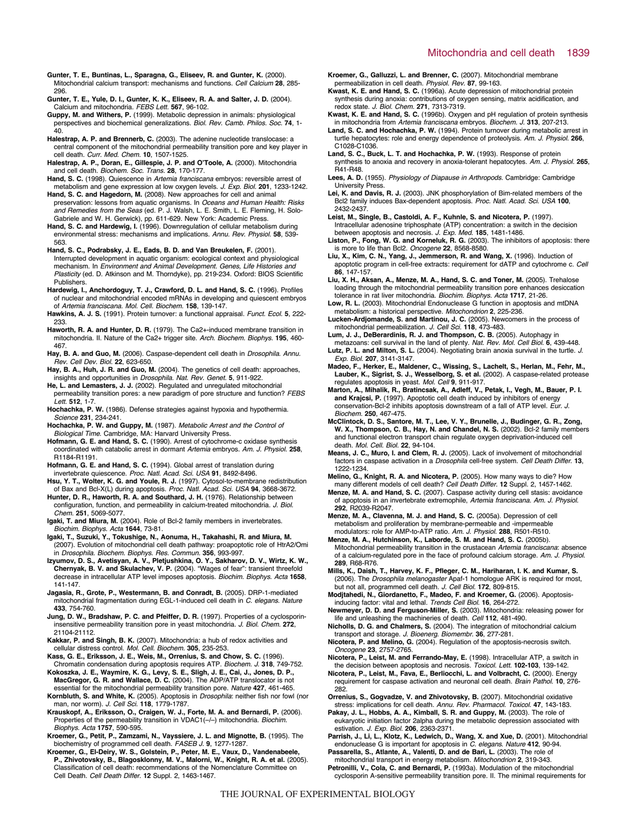- **Gunter, T. E., Buntinas, L., Sparagna, G., Eliseev, R. and Gunter, K.** (2000). Mitochondrial calcium transport: mechanisms and functions. Cell Calcium **28**, 285- 296.
- **Gunter, T. E., Yule, D. I., Gunter, K. K., Eliseev, R. A. and Salter, J. D.** (2004). Calcium and mitochondria. FEBS Lett. **567**, 96-102.
- **Guppy, M. and Withers, P.** (1999). Metabolic depression in animals: physiological perspectives and biochemical generalizations. Biol. Rev. Camb. Philos. Soc. **74**, 1- 40.
- **Halestrap, A. P. and Brennerb, C.** (2003). The adenine nucleotide translocase: a central component of the mitochondrial permeability transition pore and key player in cell death. Curr. Med. Chem. **10**, 1507-1525.
- **Halestrap, A. P., Doran, E., Gillespie, J. P. and O'Toole, A.** (2000). Mitochondria and cell death. Biochem. Soc. Trans. **28**, 170-177.
- Hand, S. C. (1998). Quiescence in Artemia franciscana embryos: reversible arrest of metabolism and gene expression at low oxygen levels. J. Exp. Biol. **201**, 1233-1242.
- **Hand, S. C. and Hagedorn, M.** (2008). New approaches for cell and animal preservation: lessons from aquatic organisms. In Oceans and Human Health: Risks and Remedies from the Seas (ed. P. J. Walsh, L. E. Smith, L. E. Fleming, H. Solo-Gabriele and W. H. Gerwick), pp. 611-629. New York: Academic Press.
- **Hand, S. C. and Hardewig, I.** (1996). Downregulation of cellular metabolism during environmental stress: mechanisms and implications. Annu. Rev. Physiol. **58**, 539- 563.
- **Hand, S. C., Podrabsky, J. E., Eads, B. D. and Van Breukelen, F.** (2001). Interrupted development in aquatic organism: ecological context and physiological mechanism. In Environment and Animal Development. Genes, Life Histories and Plasticity (ed. D. Atkinson and M. Thorndyke), pp. 219-234. Oxford: BIOS Scientific Publishers.
- **Hardewig, I., Anchordoguy, T. J., Crawford, D. L. and Hand, S. C.** (1996). Profiles of nuclear and mitochondrial encoded mRNAs in developing and quiescent embryos of Artemia franciscana. Mol. Cell. Biochem. **158**, 139-147.
- **Hawkins, A. J. S.** (1991). Protein turnover: a functional appraisal. Funct. Ecol. **5**, 222- 233.
- **Haworth, R. A. and Hunter, D. R.** (1979). The Ca2+-induced membrane transition in mitochondria. II. Nature of the Ca2+ trigger site. Arch. Biochem. Biophys. **195**, 460- 467.
- Hay, B. A. and Guo, M. (2006). Caspase-dependent cell death in *Drosophila. Annu.* Rev. Cell Dev. Biol. **22**, 623-650.
- **Hay, B. A., Huh, J. R. and Guo, M.** (2004). The genetics of cell death: approaches, insights and opportunities in Drosophila. Nat. Rev. Genet. **5**, 911-922.
- **He, L. and Lemasters, J. J.** (2002). Regulated and unregulated mitochondrial permeability transition pores: a new paradigm of pore structure and function? FEBS Lett. **512**, 1-7.
- **Hochachka, P. W.** (1986). Defense strategies against hypoxia and hypothermia. Science **231**, 234-241.
- **Hochachka, P. W. and Guppy, M.** (1987). Metabolic Arrest and the Control of Biological Time. Cambridge, MA: Harvard University Press.
- **Hofmann, G. E. and Hand, S. C.** (1990). Arrest of cytochrome-c oxidase synthesis coordinated with catabolic arrest in dormant Artemia embryos. Am. J. Physiol. **258**, R1184-R1191.
- **Hofmann, G. E. and Hand, S. C.** (1994). Global arrest of translation during invertebrate quiescence. Proc. Natl. Acad. Sci. USA **91**, 8492-8496.
- **Hsu, Y. T., Wolter, K. G. and Youle, R. J.** (1997). Cytosol-to-membrane redistribution of Bax and Bcl-X(L) during apoptosis. Proc. Natl. Acad. Sci. USA **94**, 3668-3672. **Hunter, D. R., Haworth, R. A. and Southard, J. H.** (1976). Relationship between
- configuration, function, and permeability in calcium-treated mitochondria. J. Biol. Chem. **251**, 5069-5077.
- **Igaki, T. and Miura, M.** (2004). Role of Bcl-2 family members in invertebrates.
- Biochim. Biophys. Acta **1644**, 73-81. **Igaki, T., Suzuki, Y., Tokushige, N., Aonuma, H., Takahashi, R. and Miura, M.** (2007). Evolution of mitochondrial cell death pathway: proapoptotic role of HtrA2/Omi in Drosophila. Biochem. Biophys. Res. Commun. **356**, 993-997.
- **Izyumov, D. S., Avetisyan, A. V., Pletjushkina, O. Y., Sakharov, D. V., Wirtz, K. W., Chernyak, B. V. and Skulachev, V. P.** (2004). "Wages of fear": transient threefold decrease in intracellular ATP level imposes apoptosis. Biochim. Biophys. Acta **1658**, 141-147.
- **Jagasia, R., Grote, P., Westermann, B. and Conradt, B.** (2005). DRP-1-mediated mitochondrial fragmentation during EGL-1-induced cell death in C. elegans. Nature **433**, 754-760.
- **Jung, D. W., Bradshaw, P. C. and Pfeiffer, D. R.** (1997). Properties of a cyclosporininsensitive permeability transition pore in yeast mitochondria. J. Biol. Chem. **272**, 21104-21112.
- **Kakkar, P. and Singh, B. K.** (2007). Mitochondria: a hub of redox activities and cellular distress control. Mol. Cell. Biochem. **305**, 235-253.
- **Kass, G. E., Eriksson, J. E., Weis, M., Orrenius, S. and Chow, S. C.** (1996). Chromatin condensation during apoptosis requires ATP. Biochem. J. **318**, 749-752.
- **Kokoszka, J. E., Waymire, K. G., Levy, S. E., Sligh, J. E., Cai, J., Jones, D. P., MacGregor, G. R. and Wallace, D. C.** (2004). The ADP/ATP translocator is not essential for the mitochondrial permeability transition pore. Nature **427**, 461-465.
- **Kornbluth, S. and White, K.** (2005). Apoptosis in Drosophila: neither fish nor fowl (nor man, nor worm). J. Cell Sci. **118**, 1779-1787.
- **Krauskopf, A., Eriksson, O., Craigen, W. J., Forte, M. A. and Bernardi, P.** (2006). Properties of the permeability transition in VDAC1(–/–) mitochondria. Biochim. Biophys. Acta **1757**, 590-595.
- **Kroemer, G., Petit, P., Zamzami, N., Vayssiere, J. L. and Mignotte, B.** (1995). The biochemistry of programmed cell death. FASEB J. **9**, 1277-1287.
- **Kroemer, G., El-Deiry, W. S., Golstein, P., Peter, M. E., Vaux, D., Vandenabeele, P., Zhivotovsky, B., Blagosklonny, M. V., Malorni, W., Knight, R. A. et al.** (2005). Classification of cell death: recommendations of the Nomenclature Committee on Cell Death. Cell Death Differ. **12** Suppl. 2, 1463-1467.
- **Kroemer, G., Galluzzi, L. and Brenner, C.** (2007). Mitochondrial membrane permeabilization in cell death. Physiol. Rev. **87**, 99-163.
- **Kwast, K. E. and Hand, S. C.** (1996a). Acute depression of mitochondrial protein synthesis during anoxia: contributions of oxygen sensing, matrix acidification, and redox state. J. Biol. Chem. **271**, 7313-7319.
- **Kwast, K. E. and Hand, S. C.** (1996b). Oxygen and pH regulation of protein synthesis in mitochondria from Artemia franciscana embryos. Biochem. J. **313**, 207-213.
- **Land, S. C. and Hochachka, P. W.** (1994). Protein turnover during metabolic arrest in turtle hepatocytes: role and energy dependence of proteolysis. Am. J. Physiol. **266**, C1028-C1036.
- **Land, S. C., Buck, L. T. and Hochachka, P. W.** (1993). Response of protein synthesis to anoxia and recovery in anoxia-tolerant hepatocytes. Am. J. Physiol. **265**, R41-R48.
- Lees, A. D. (1955). Physiology of Diapause in Arthropods. Cambridge: Cambridge University Press.
- **Lei, K. and Davis, R. J.** (2003). JNK phosphorylation of Bim-related members of the Bcl2 family induces Bax-dependent apoptosis. Proc. Natl. Acad. Sci. USA **100**, 2432-2437.
- **Leist, M., Single, B., Castoldi, A. F., Kuhnle, S. and Nicotera, P.** (1997). Intracellular adenosine triphosphate (ATP) concentration: a switch in the decision between apoptosis and necrosis. J. Exp. Med. **185**, 1481-1486.
- **Liston, P., Fong, W. G. and Korneluk, R. G.** (2003). The inhibitors of apoptosis: there is more to life than Bcl2. Oncogene **22**, 8568-8580.
- **Liu, X., Kim, C. N., Yang, J., Jemmerson, R. and Wang, X.** (1996). Induction of apoptotic program in cell-free extracts: requirement for dATP and cytochrome c. Cell **86**, 147-157.
- **Liu, X. H., Aksan, A., Menze, M. A., Hand, S. C. and Toner, M.** (2005). Trehalose loading through the mitochondrial permeability transition pore enhances desiccation tolerance in rat liver mitochondria. Biochim. Biophys. Acta **1717**, 21-26.
- **Low, R. L.** (2003). Mitochondrial Endonuclease G function in apoptosis and mtDNA metabolism: a historical perspective. Mitochondrion **2**, 225-236.
- **Lucken-Ardjomande, S. and Martinou, J. C.** (2005). Newcomers in the process of mitochondrial permeabilization. J. Cell Sci. **118**, 473-483.
- **Lum, J. J., DeBerardinis, R. J. and Thompson, C. B.** (2005). Autophagy in metazoans: cell survival in the land of plenty. Nat. Rev. Mol. Cell Biol. **6**, 439-448.
- **Lutz, P. L. and Milton, S. L.** (2004). Negotiating brain anoxia survival in the turtle. J. Exp. Biol. **207**, 3141-3147.
- **Madeo, F., Herker, E., Maldener, C., Wissing, S., Lachelt, S., Herlan, M., Fehr, M., Lauber, K., Sigrist, S. J., Wesselborg, S. et al.** (2002). A caspase-related protease regulates apoptosis in yeast. Mol. Cell **9**, 911-917.
- **Marton, A., Mihalik, R., Bratincsak, A., Adleff, V., Petak, I., Vegh, M., Bauer, P. I. and Krajcsi, P.** (1997). Apoptotic cell death induced by inhibitors of energy conservation-Bcl-2 inhibits apoptosis downstream of a fall of ATP level. Eur. J. Biochem. **250**, 467-475.
- McClintock, D. S., Santore, M. T., Lee, V. Y., Brunelle, J., Budinger, G. R., Zong,<br>W. X., Thompson, C. B., Hay, N. and Chandel, N. S. (2002). Bcl-2 family members<br>and functional electron transport chain regulate oxygen de death. Mol. Cell. Biol. **22**, 94-104.
- **Means, J. C., Muro, I. and Clem, R. J.** (2005). Lack of involvement of mitochondrial factors in caspase activation in a Drosophila cell-free system. Cell Death Differ. **13**, 1222-1234.
- **Melino, G., Knight, R. A. and Nicotera, P.** (2005). How many ways to die? How many different models of cell death? Cell Death Differ. **12** Suppl. 2, 1457-1462.
- **Menze, M. A. and Hand, S. C.** (2007). Caspase activity during cell stasis: avoidance of apoptosis in an invertebrate extremophile, Artemia franciscana. Am. J. Physiol. **292**, R2039-R2047.
- **Menze, M. A., Clavenna, M. J. and Hand, S. C.** (2005a). Depression of cell metabolism and proliferation by membrane-permeable and -impermeable modulators: role for AMP-to-ATP ratio. Am. J. Physiol. **288**, R501-R510.
- **Menze, M. A., Hutchinson, K., Laborde, S. M. and Hand, S. C.** (2005b). Mitochondrial permeability transition in the crustacean Artemia franciscana: absence of a calcium-regulated pore in the face of profound calcium storage. Am. J. Physiol. **289**, R68-R76.
- **Mills, K., Daish, T., Harvey, K. F., Pfleger, C. M., Hariharan, I. K. and Kumar, S.** (2006). The Drosophila melanogaster Apaf-1 homologue ARK is required for most, but not all, programmed cell death. J. Cell Biol. **172**, 809-815.
- **Modjtahedi, N., Giordanetto, F., Madeo, F. and Kroemer, G.** (2006). Apoptosis-inducing factor: vital and lethal. Trends Cell Biol. **16**, 264-272.
- **Newmeyer, D. D. and Ferguson-Miller, S.** (2003). Mitochondria: releasing power for life and unleashing the machineries of death. Cell **112**, 481-490.
- **Nicholls, D. G. and Chalmers, S.** (2004). The integration of mitochondrial calcium transport and storage. J. Bioenerg. Biomembr. **36**, 277-281.
- **Nicotera, P. and Melino, G.** (2004). Regulation of the apoptosis-necrosis switch. Oncogene **23**, 2757-2765.
- **Nicotera, P., Leist, M. and Ferrando-May, E.** (1998). Intracellular ATP, a switch in
- the decision between apoptosis and necrosis. Toxicol. Lett. **102-103**, 139-142. **Nicotera, P., Leist, M., Fava, E., Berliocchi, L. and Volbracht, C.** (2000). Energy requirement for caspase activation and neuronal cell death. Brain Pathol. **10**, 276- 282.
- **Orrenius, S., Gogvadze, V. and Zhivotovsky, B.** (2007). Mitochondrial oxidative
- stress: implications for cell death. Annu. Rev. Pharmacol. Toxicol. **47**, 143-183. **Pakay, J. L., Hobbs, A. A., Kimball, S. R. and Guppy, M.** (2003). The role of eukaryotic initiation factor 2alpha during the metabolic depression associated with estivation. J. Exp. Biol. **206**, 2363-2371.
- **Parrish, J., Li, L., Klotz, K., Ledwich, D., Wang, X. and Xue, D.** (2001). Mitochondrial endonuclease G is important for apoptosis in C. elegans. Nature **412**, 90-94.
- **Passarella, S., Atlante, A., Valenti, D. and de Bari, L.** (2003). The role of mitochondrial transport in energy metabolism. Mitochondrion **2**, 319-343. **Petronilli, V., Cola, C. and Bernardi, P.** (1993a). Modulation of the mitochondrial cyclosporin A-sensitive permeability transition pore. II. The minimal requirements for